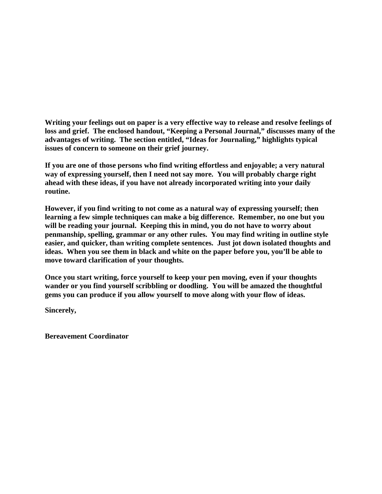**Writing your feelings out on paper is a very effective way to release and resolve feelings of loss and grief. The enclosed handout, "Keeping a Personal Journal," discusses many of the advantages of writing. The section entitled, "Ideas for Journaling," highlights typical issues of concern to someone on their grief journey.**

**If you are one of those persons who find writing effortless and enjoyable; a very natural way of expressing yourself, then I need not say more. You will probably charge right ahead with these ideas, if you have not already incorporated writing into your daily routine.**

**However, if you find writing to not come as a natural way of expressing yourself; then learning a few simple techniques can make a big difference. Remember, no one but you will be reading your journal. Keeping this in mind, you do not have to worry about penmanship, spelling, grammar or any other rules. You may find writing in outline style easier, and quicker, than writing complete sentences. Just jot down isolated thoughts and ideas. When you see them in black and white on the paper before you, you'll be able to move toward clarification of your thoughts.**

**Once you start writing, force yourself to keep your pen moving, even if your thoughts wander or you find yourself scribbling or doodling. You will be amazed the thoughtful gems you can produce if you allow yourself to move along with your flow of ideas.** 

**Sincerely,**

**Bereavement Coordinator**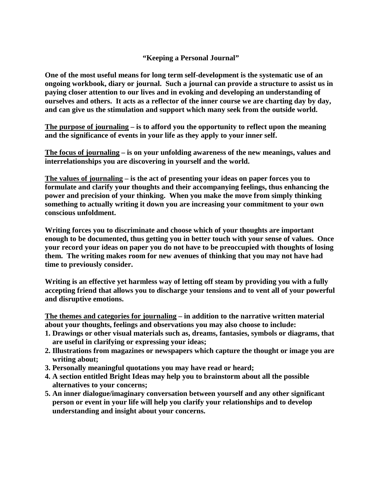## **"Keeping a Personal Journal"**

**One of the most useful means for long term self-development is the systematic use of an ongoing workbook, diary or journal. Such a journal can provide a structure to assist us in paying closer attention to our lives and in evoking and developing an understanding of ourselves and others. It acts as a reflector of the inner course we are charting day by day, and can give us the stimulation and support which many seek from the outside world.**

**The purpose of journaling – is to afford you the opportunity to reflect upon the meaning and the significance of events in your life as they apply to your inner self.**

**The focus of journaling – is on your unfolding awareness of the new meanings, values and interrelationships you are discovering in yourself and the world.** 

**The values of journaling – is the act of presenting your ideas on paper forces you to formulate and clarify your thoughts and their accompanying feelings, thus enhancing the power and precision of your thinking. When you make the move from simply thinking something to actually writing it down you are increasing your commitment to your own conscious unfoldment.**

**Writing forces you to discriminate and choose which of your thoughts are important enough to be documented, thus getting you in better touch with your sense of values. Once your record your ideas on paper you do not have to be preoccupied with thoughts of losing them. The writing makes room for new avenues of thinking that you may not have had time to previously consider.**

**Writing is an effective yet harmless way of letting off steam by providing you with a fully accepting friend that allows you to discharge your tensions and to vent all of your powerful and disruptive emotions.**

**The themes and categories for journaling – in addition to the narrative written material about your thoughts, feelings and observations you may also choose to include:**

- **1. Drawings or other visual materials such as, dreams, fantasies, symbols or diagrams, that are useful in clarifying or expressing your ideas;**
- **2. Illustrations from magazines or newspapers which capture the thought or image you are writing about;**
- **3. Personally meaningful quotations you may have read or heard;**
- **4. A section entitled Bright Ideas may help you to brainstorm about all the possible alternatives to your concerns;**
- **5. An inner dialogue/imaginary conversation between yourself and any other significant person or event in your life will help you clarify your relationships and to develop understanding and insight about your concerns.**